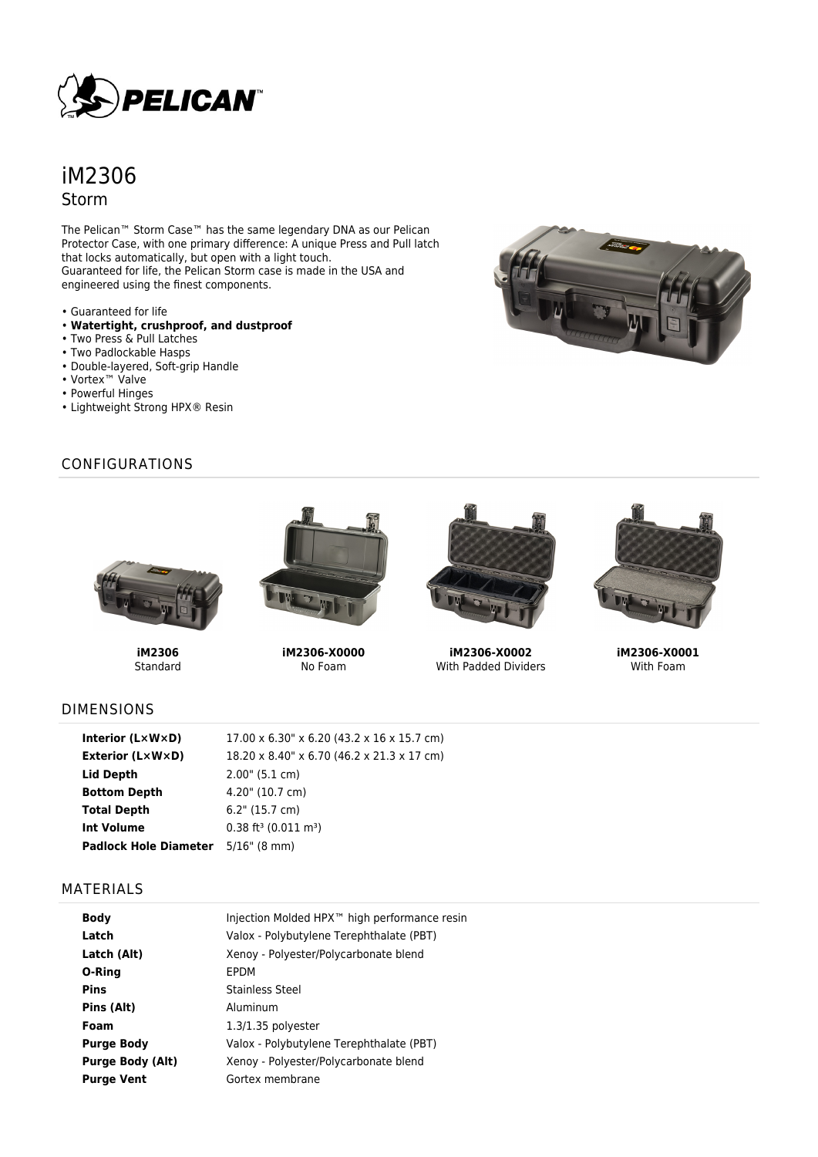

# iM2306 Storm

The Pelican™ Storm Case™ has the same legendary DNA as our Pelican Protector Case, with one primary difference: A unique Press and Pull latch that locks automatically, but open with a light touch. Guaranteed for life, the Pelican Storm case is made in the USA and engineered using the finest components.

- Guaranteed for life
- **Watertight, crushproof, and dustproof**
- Two Press & Pull Latches
- Two Padlockable Hasps
- Double-layered, Soft-grip Handle
- Vortex™ Valve
- Powerful Hinges
- Lightweight Strong HPX® Resin

**iM2306** Standard

## CONFIGURATIONS



**iM2306-X0000** No Foam



**iM2306-X0002** With Padded Dividers



**iM2306-X0001** With Foam

## DIMENSIONS

| Interior (LxWxD)                          | 17.00 x 6.30" x 6.20 (43.2 x 16 x 15.7 cm)     |
|-------------------------------------------|------------------------------------------------|
| Exterior (L×W×D)                          | 18.20 x 8.40" x 6.70 (46.2 x 21.3 x 17 cm)     |
| Lid Depth                                 | 2.00" (5.1 cm)                                 |
| <b>Bottom Depth</b>                       | 4.20" (10.7 cm)                                |
| <b>Total Depth</b>                        | $6.2$ " (15.7 cm)                              |
| <b>Int Volume</b>                         | $0.38$ ft <sup>3</sup> (0.011 m <sup>3</sup> ) |
| <b>Padlock Hole Diameter</b> 5/16" (8 mm) |                                                |

#### MATERIALS

| <b>Body</b>             | Injection Molded HPX <sup>™</sup> high performance resin |
|-------------------------|----------------------------------------------------------|
| Latch                   | Valox - Polybutylene Terephthalate (PBT)                 |
| Latch (Alt)             | Xenoy - Polyester/Polycarbonate blend                    |
| O-Ring                  | EPDM                                                     |
| <b>Pins</b>             | Stainless Steel                                          |
| Pins (Alt)              | Aluminum                                                 |
| Foam                    | $1.3/1.35$ polyester                                     |
| <b>Purge Body</b>       | Valox - Polybutylene Terephthalate (PBT)                 |
| <b>Purge Body (Alt)</b> | Xenoy - Polyester/Polycarbonate blend                    |
| <b>Purge Vent</b>       | Gortex membrane                                          |